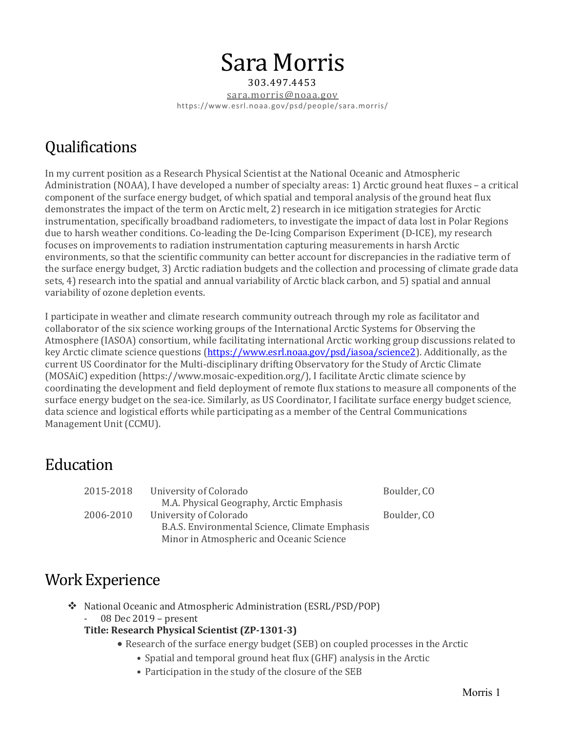# Sara Morris

303.497.4453 sara.morris@noaa.gov https://www.esrl.noaa.gov/psd/people/sara.morris/

# **Qualifications**

In my current position as a Research Physical Scientist at the National Oceanic and Atmospheric Administration (NOAA), I have developed a number of specialty areas: 1) Arctic ground heat fluxes – a critical component of the surface energy budget, of which spatial and temporal analysis of the ground heat flux demonstrates the impact of the term on Arctic melt, 2) research in ice mitigation strategies for Arctic instrumentation, specifically broadband radiometers, to investigate the impact of data lost in Polar Regions due to harsh weather conditions. Co-leading the De-Icing Comparison Experiment (D-ICE), my research focuses on improvements to radiation instrumentation capturing measurements in harsh Arctic environments, so that the scientific community can better account for discrepancies in the radiative term of the surface energy budget, 3) Arctic radiation budgets and the collection and processing of climate grade data sets, 4) research into the spatial and annual variability of Arctic black carbon, and 5) spatial and annual variability of ozone depletion events.

I participate in weather and climate research community outreach through my role as facilitator and collaborator of the six science working groups of the International Arctic Systems for Observing the Atmosphere (IASOA) consortium, while facilitating international Arctic working group discussions related to key Arctic climate science questions [\(https://www.esrl.noaa.gov/psd/iasoa/science2\)](https://www.esrl.noaa.gov/psd/iasoa/science2). Additionally, as the current US Coordinator for the Multi-disciplinary drifting Observatory for the Study of Arctic Climate (MOSAiC) expedition (https://www.mosaic-expedition.org/), I facilitate Arctic climate science by coordinating the development and field deployment of remote flux stations to measure all components of the surface energy budget on the sea-ice. Similarly, as US Coordinator, I facilitate surface energy budget science, data science and logistical efforts while participating as a member of the Central Communications Management Unit (CCMU).

## Education

| University of Colorado                         | Boulder, CO |
|------------------------------------------------|-------------|
| M.A. Physical Geography, Arctic Emphasis       |             |
| University of Colorado                         | Boulder, CO |
| B.A.S. Environmental Science, Climate Emphasis |             |
| Minor in Atmospheric and Oceanic Science       |             |
|                                                |             |

# Work Experience

- National Oceanic and Atmospheric Administration (ESRL/PSD/POP)
	- 08 Dec 2019 present

#### **Title: Research Physical Scientist (ZP-1301-3)**

- Research of the surface energy budget (SEB) on coupled processes in the Arctic
	- Spatial and temporal ground heat flux (GHF) analysis in the Arctic
	- Participation in the study of the closure of the SEB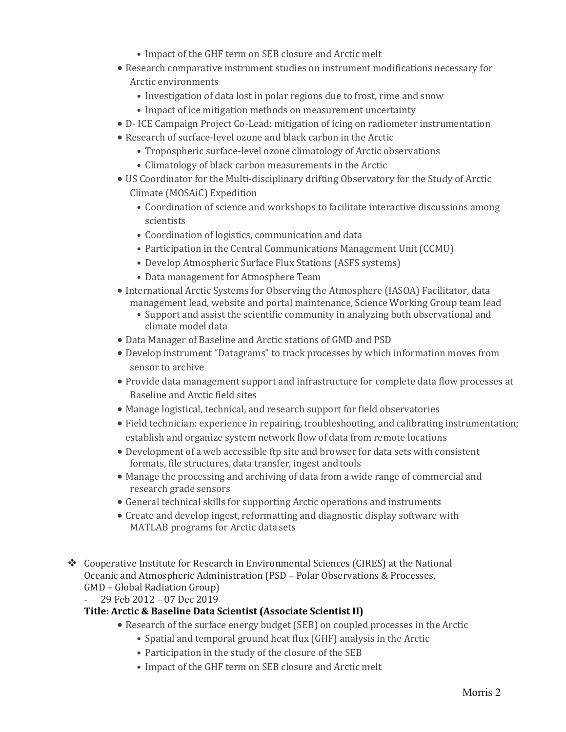- Impact of the GHF term on SEB closure and Arctic melt
- Research comparative instrument studies on instrument modifications necessary for Arctic environments
	- Investigation of data lost in polar regions due to frost, rime and snow
	- Impact of ice mitigation methods on measurement uncertainty
- D- ICE Campaign Project Co-Lead: mitigation of icing on radiometer instrumentation
- Research of surface-level ozone and black carbon in the Arctic
	- Tropospheric surface-level ozone climatology of Arctic observations
	- Climatology of black carbon measurements in the Arctic
- US Coordinator for the Multi-disciplinary drifting Observatory for the Study of Arctic Climate (MOSAiC) Expedition
	- Coordination of science and workshops to facilitate interactive discussions among scientists
	- Coordination of logistics, communication and data
	- Participation in the Central Communications Management Unit (CCMU)
	- Develop Atmospheric Surface Flux Stations (ASFS systems)
	- Data management for Atmosphere Team
- International Arctic Systems for Observing the Atmosphere (IASOA) Facilitator, data management lead, website and portal maintenance, Science Working Group team lead
	- Support and assist the scientific community in analyzing both observational and climate model data
- Data Manager of Baseline and Arctic stations of GMD and PSD
- Develop instrument "Datagrams" to track processes by which information moves from sensor to archive
- Provide data management support and infrastructure for complete data flow processes at Baseline and Arctic field sites
- Manage logistical, technical, and research support for field observatories
- Field technician: experience in repairing, troubleshooting, and calibrating instrumentation; establish and organize system network flow of data from remote locations
- Development of a web accessible ftp site and browser for data sets with consistent formats, file structures, data transfer, ingest and tools
- Manage the processing and archiving of data from a wide range of commercial and research grade sensors
- General technical skills for supporting Arctic operations and instruments
- Create and develop ingest, reformatting and diagnostic display software with MATLAB programs for Arctic data sets
- Cooperative Institute for Research in Environmental Sciences (CIRES) at the National Oceanic and Atmospheric Administration (PSD – Polar Observations & Processes, GMD – Global Radiation Group)

- 29 Feb 2012 – 07 Dec 2019

#### **Title: Arctic & Baseline Data Scientist (Associate Scientist II)**

- Research of the surface energy budget (SEB) on coupled processes in the Arctic
	- Spatial and temporal ground heat flux (GHF) analysis in the Arctic
	- Participation in the study of the closure of the SEB
	- Impact of the GHF term on SEB closure and Arctic melt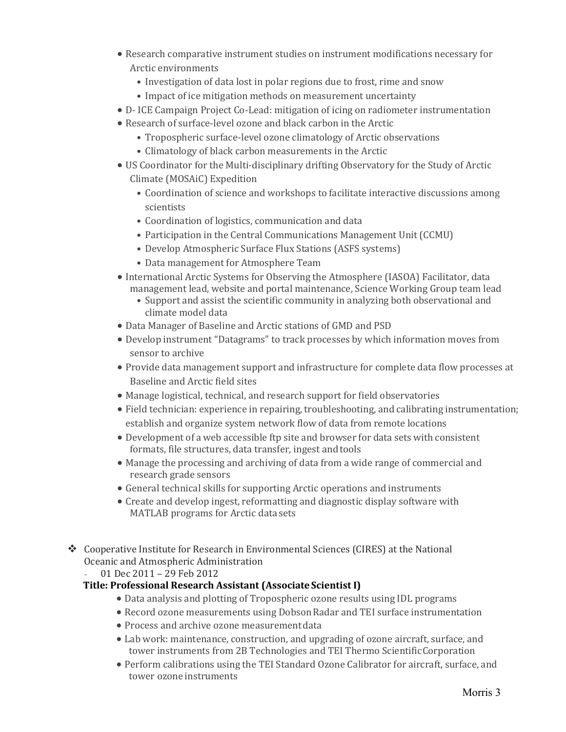- Research comparative instrument studies on instrument modifications necessary for Arctic environments
	- Investigation of data lost in polar regions due to frost, rime and snow
	- Impact of ice mitigation methods on measurement uncertainty
- D- ICE Campaign Project Co-Lead: mitigation of icing on radiometer instrumentation
- Research of surface-level ozone and black carbon in the Arctic
	- Tropospheric surface-level ozone climatology of Arctic observations
	- Climatology of black carbon measurements in the Arctic
- US Coordinator for the Multi-disciplinary drifting Observatory for the Study of Arctic Climate (MOSAiC) Expedition
	- Coordination of science and workshops to facilitate interactive discussions among scientists
	- Coordination of logistics, communication and data
	- Participation in the Central Communications Management Unit (CCMU)
	- Develop Atmospheric Surface Flux Stations (ASFS systems)
	- Data management for Atmosphere Team
- International Arctic Systems for Observing the Atmosphere (IASOA) Facilitator, data management lead, website and portal maintenance, Science Working Group team lead
	- Support and assist the scientific community in analyzing both observational and climate model data
- Data Manager of Baseline and Arctic stations of GMD and PSD
- Develop instrument "Datagrams" to track processes by which information moves from sensor to archive
- Provide data management support and infrastructure for complete data flow processes at Baseline and Arctic field sites
- Manage logistical, technical, and research support for field observatories
- Field technician: experience in repairing, troubleshooting, and calibrating instrumentation; establish and organize system network flow of data from remote locations
- Development of a web accessible ftp site and browser for data sets with consistent formats, file structures, data transfer, ingest and tools
- Manage the processing and archiving of data from a wide range of commercial and research grade sensors
- General technical skills for supporting Arctic operations and instruments
- Create and develop ingest, reformatting and diagnostic display software with MATLAB programs for Arctic data sets
- Cooperative Institute for Research in Environmental Sciences (CIRES) at the National Oceanic and Atmospheric Administration
	- 01 Dec 2011 29 Feb 2012

#### **Title: Professional Research Assistant (Associate Scientist I)**

- Data analysis and plotting of Tropospheric ozone results using IDL programs
- Record ozone measurements using Dobson Radar and TEI surface instrumentation
- Process and archive ozone measurement data
- Lab work: maintenance, construction, and upgrading of ozone aircraft, surface, and tower instruments from 2B Technologies and TEI Thermo ScientificCorporation
- Perform calibrations using the TEI Standard Ozone Calibrator for aircraft, surface, and tower ozone instruments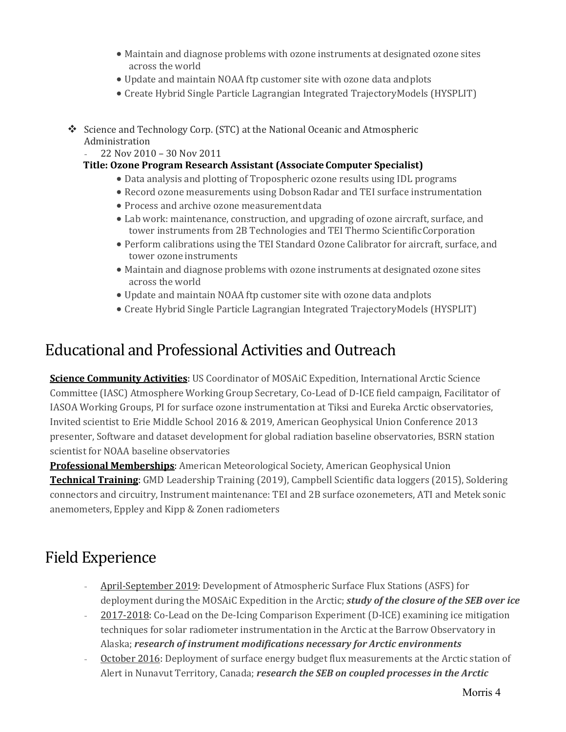- Maintain and diagnose problems with ozone instruments at designated ozone sites across the world
- Update and maintain NOAA ftp customer site with ozone data andplots
- Create Hybrid Single Particle Lagrangian Integrated TrajectoryModels (HYSPLIT)
- Science and Technology Corp. (STC) at the National Oceanic and Atmospheric Administration
	- 22 Nov 2010 30 Nov 2011

#### **Title: Ozone Program Research Assistant (AssociateComputer Specialist)**

- Data analysis and plotting of Tropospheric ozone results using IDL programs
- Record ozone measurements using DobsonRadar and TEI surface instrumentation
- Process and archive ozone measurement data
- Lab work: maintenance, construction, and upgrading of ozone aircraft, surface, and tower instruments from 2B Technologies and TEI Thermo ScientificCorporation
- Perform calibrations using the TEI Standard Ozone Calibrator for aircraft, surface, and tower ozone instruments
- Maintain and diagnose problems with ozone instruments at designated ozone sites across the world
- Update and maintain NOAA ftp customer site with ozone data andplots
- Create Hybrid Single Particle Lagrangian Integrated TrajectoryModels (HYSPLIT)

### Educational and Professional Activities and Outreach

**Science Community Activities**: US Coordinator of MOSAiC Expedition, International Arctic Science Committee (IASC) Atmosphere Working Group Secretary, Co-Lead of D-ICE field campaign, Facilitator of IASOA Working Groups, PI for surface ozone instrumentation at Tiksi and Eureka Arctic observatories, Invited scientist to Erie Middle School 2016 & 2019, American Geophysical Union Conference 2013 presenter, Software and dataset development for global radiation baseline observatories, BSRN station scientist for NOAA baseline observatories

**Professional Memberships**: American Meteorological Society, American Geophysical Union **Technical Training**: GMD Leadership Training (2019), Campbell Scientific data loggers (2015), Soldering connectors and circuitry, Instrument maintenance: TEI and 2B surface ozonemeters, ATI and Metek sonic anemometers, Eppley and Kipp & Zonen radiometers

# Field Experience

- April-September 2019: Development of Atmospheric Surface Flux Stations (ASFS) for deployment during the MOSAiC Expedition in the Arctic; *study of the closure of the SEB over ice*
- 2017-2018: Co-Lead on the De-Icing Comparison Experiment (D-ICE) examining ice mitigation techniques for solar radiometer instrumentation in the Arctic at the Barrow Observatory in Alaska; *research of instrument modifications necessary for Arctic environments*
- October 2016: Deployment of surface energy budget flux measurements at the Arctic station of Alert in Nunavut Territory, Canada; *research the SEB on coupled processes in the Arctic*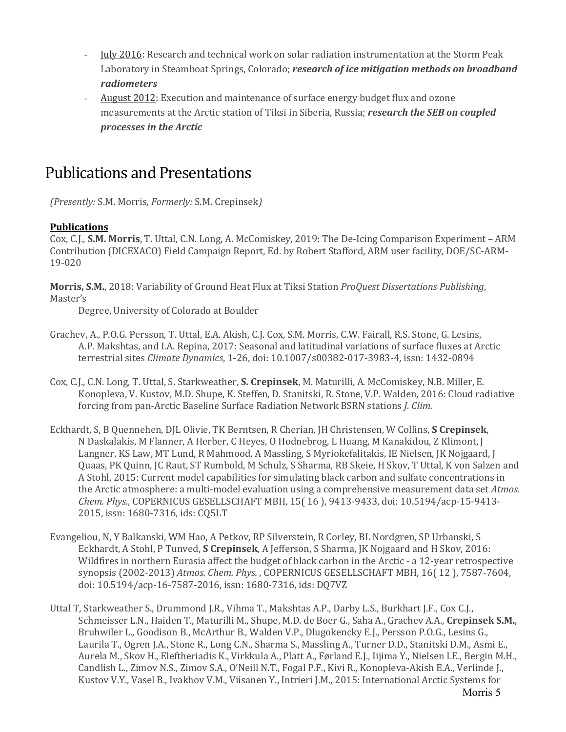- July 2016: Research and technical work on solar radiation instrumentation at the Storm Peak Laboratory in Steamboat Springs, Colorado; *research of ice mitigation methods on broadband radiometers*
- August 2012: Execution and maintenance of surface energy budget flux and ozone measurements at the Arctic station of Tiksi in Siberia, Russia; *research the SEB on coupled processes in the Arctic*

## Publications and Presentations

*(Presently:* S.M. Morris*, Formerly:* S.M. Crepinsek*)*

#### **Publications**

Cox, C.J., **S.M. Morris**, T. Uttal, C.N. Long, A. McComiskey, 2019: The De-Icing Comparison Experiment – ARM Contribution (DICEXACO) Field Campaign Report, Ed. by Robert Stafford, ARM user facility, DOE/SC-ARM-19-020

**Morris, S.M.**, 2018: Variability of Ground Heat Flux at Tiksi Station *ProQuest Dissertations Publishing*, Master's

Degree, University of Colorado at Boulder

- Grachev, A., P.O.G. Persson, T. Uttal, E.A. Akish, C.J. Cox, S.M. Morris, C.W. Fairall, R.S. Stone, G. Lesins, A.P. Makshtas, and I.A. Repina, 2017: Seasonal and latitudinal variations of surface fluxes at Arctic terrestrial sites *Climate Dynamics*, 1-26, doi: 10.1007/s00382-017-3983-4, issn: 1432-0894
- Cox, C.J., C.N. Long, T. Uttal, S. Starkweather, **S. Crepinsek**, M. Maturilli, A. McComiskey, N.B. Miller, E. Konopleva, V. Kustov, M.D. Shupe, K. Steffen, D. Stanitski, R. Stone, V.P. Walden, 2016: Cloud radiative forcing from pan-Arctic Baseline Surface Radiation Network BSRN stations *J. Clim.*
- Eckhardt, S, B Quennehen, DJL Olivie, TK Berntsen, R Cherian, JH Christensen, W Collins, **S Crepinsek**, N Daskalakis, M Flanner, A Herber, C Heyes, O Hodnebrog, L Huang, M Kanakidou, Z Klimont, J Langner, KS Law, MT Lund, R Mahmood, A Massling, S Myriokefalitakis, IE Nielsen, JK Nojgaard, J Quaas, PK Quinn, JC Raut, ST Rumbold, M Schulz, S Sharma, RB Skeie, H Skov, T Uttal, K von Salzen and A Stohl, 2015: Current model capabilities for simulating black carbon and sulfate concentrations in the Arctic atmosphere: a multi-model evaluation using a comprehensive measurement data set *Atmos. Chem. Phys.*, COPERNICUS GESELLSCHAFT MBH, 15( 16 ), 9413-9433, doi: 10.5194/acp-15-9413- 2015, issn: 1680-7316, ids: CQ5LT
- Evangeliou, N, Y Balkanski, WM Hao, A Petkov, RP Silverstein, R Corley, BL Nordgren, SP Urbanski, S Eckhardt, A Stohl, P Tunved, **S Crepinsek**, A Jefferson, S Sharma, JK Nojgaard and H Skov, 2016: Wildfires in northern Eurasia affect the budget of black carbon in the Arctic - a 12-year retrospective synopsis (2002-2013) *Atmos. Chem. Phys.* , COPERNICUS GESELLSCHAFT MBH, 16( 12 ), 7587-7604, doi: 10.5194/acp-16-7587-2016, issn: 1680-7316, ids: DQ7VZ
- Uttal T, Starkweather S., Drummond J.R., Vihma T., Makshtas A.P., Darby L.S., Burkhart J.F., Cox C.J., Schmeisser L.N., Haiden T., Maturilli M., Shupe, M.D. de Boer G., Saha A., Grachev A.A., **Crepinsek S.M.**, Bruhwiler L., Goodison B., McArthur B., Walden V.P., Dlugokencky E.J., Persson P.O.G., Lesins G., Laurila T., Ogren J.A., Stone R., Long C.N., Sharma S., Massling A., Turner D.D., Stanitski D.M., Asmi E., Aurela M., Skov H., Eleftheriadis K., Virkkula A., Platt A., Førland E.J., Iijima Y., Nielsen I.E., Bergin M.H., Candlish L., Zimov N.S., Zimov S.A., O'Neill N.T., Fogal P.F., Kivi R., Konopleva-Akish E.A., Verlinde J., Kustov V.Y., Vasel B., Ivakhov V.M., Viisanen Y., Intrieri J.M., 2015: International Arctic Systems for